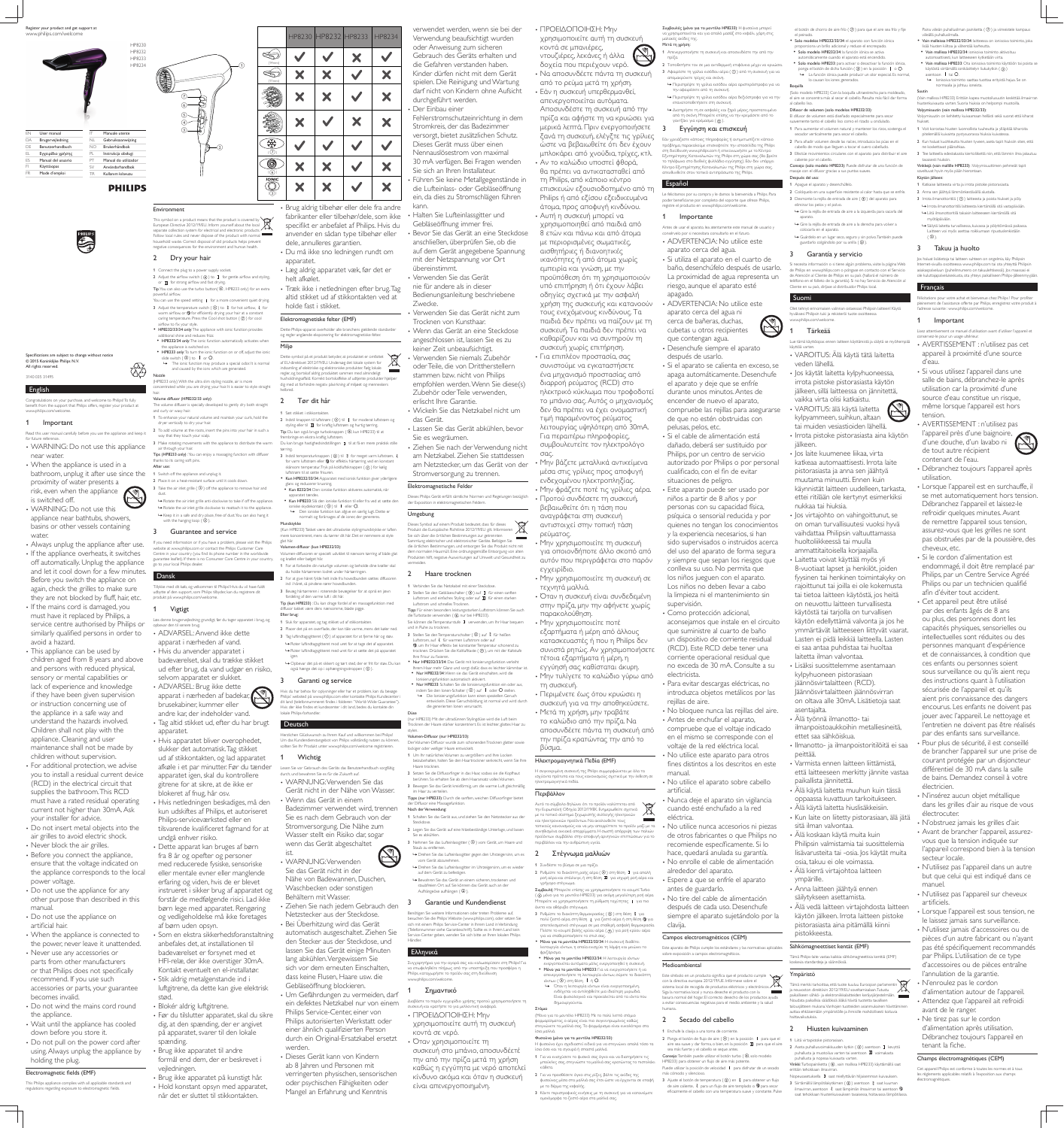English

Congratulations on your purchase, and welcome to Philips! To fully benefit from the support that Philips offers, register your product at

PHILIPS<br>
THE CONTROL OF STREET

Shecifications are subiect to change without notice

• When the appliance is used in a

www.philips.com/welcome.

 $@$  2015 Koninklijke Philips N.V.

for future reference

near water.

proximity of water presents a risk, even when the appliance

is switched off.

WARNING: Do not use this

appliance near bathtubs, showers, basins or other vessels containing

water.

**Important** 

Always unplug the appliance after use. • If the appliance overheats, it switches off automatically. Unplug the appliance and let it cool down for a few minutes. Before you switch the appliance on again, check the grilles to make sure they are not blocked by fluff, hair, etc. • If the mains cord is damaged, you must have it replaced by Philips, a service centre authorised by Philips or similarly qualified persons in order to avoid a hazard.

• This appliance can be used by children aged from 8 years and above and persons with reduced physical, sensory or mental capabilities or lack of experience and knowledge if they have been given supervision or instruction concerning use of the appliance in a safe way and understand the hazards involved. Children shall not play with the appliance. Cleaning and user maintenance shall not be made by children without supervision. • For additional protection, we advise you to install a residual current device (RCD) in the electrical circuit that supplies the bathroom. This RCD must have a rated residual operating

your installer for advice. • Do not insert metal objects into the air grilles to avoid electric shock. • Never block the air grilles.

• Before you connect the appliance, ensure that the voltage indicated on the appliance corresponds to the local power voltage.

• Do not use the appliance for any other purpose than described in this manual.

• Do not use the appliance on artificial hair. When the appliance is connected to

the power, never leave it unattended. • Never use any accessories or parts from other manufacturers or that Philips does not specifically

Do not wind the mains cord round the appliance. • Wait until the appliance has cooled

down before you store it. • Do not pull on the power cord after

This symbol on a product means that the product is covered by  $\sqrt{2}$ European Directive 2012/19/EU. Inform yourself about the local separate collection system for electrical and electronic products. Follow local rules and never dispose of the product with normal household waste. Correct disposal of old products helps prevent negative consequences for the environment and human health.

current not higher than 30mA. Ask

additional shine and reduces frizz. • HP8232/34 only: The ionic function automatically activates when

the appliance is switched on. • HP8233 only: To turn the ionic function on or off, adjust the ionic

slide switch  $(③)$  to  $\|$  or  $\circ$ . » The ionic function may produce a special odor. It is normal and caused by the ions which are generated **Nozzle** 

#### Volume diffuser (HP8232/33 only): The volume diffuser is specially developed to gently dry both straight and curly or wavy hair.

recommend. If you use such accessories or parts, your guarantee becomes invalid.

using. Always unplug the appliance by holding the plug.

Electromagnetic fields (EMF) This Philips appliance complies with all applicable standards and earding exposure to electroma

Read this user manual carefully before you use the appliance and keep it WARNING: Do not use this appliance bathroom, unplug it after use since the dryer vertically to dry your hair. 2 To add volume at the roots, insert the pins into your hair in such a way that they touch your scalp. 3 Make rotating movements with the appliance to distribute the warm air through your hair. Tips (HP8233 only) : You can enjoy a massaging function with diffuser thanks to its caring soft pins. After use: 1 Switch off the appliance and unplug it. 2 Place it on a heat-resistant surface until it cools down. 3 Take the air inlet grille  $( 0 )$  off the appliance to remove hair and dust. » Rotate the air inlet grille anti-clockwise to take if off the appliance. » Rotate the air inlet grille clockwise to reattach it to the appliance.

with the hanging loop  $( 2 )$ .

#### Environment

Dansk Tillykke med dit køb, og velkommen til Philips! Hvis du vil have fuldt

• Hvis du anvender apparatet selvom apparatet er slukket. ADVARSEL: Brug ikke dette apparat i nærheden af badekar, brusekabiner, kummer eller

### 2 Dry your hair

 $\circleds$ 

 $_{\rm (3)}$  $\circled{4}$ 

 $_{\rm (7)}$  $\scriptstyle{(6)}$ 

1 Connect the plug to a power supply socket. 2 Adjust the airflow switch ( $\Theta$ ) to **I** for gentle airflow and styling,

 $_{\rm (2)}$ 

 $\mathbb{D}$ 

 $\begin{pmatrix} 1 \end{pmatrix}$ 

or  $\Box$  for strong airflow and fast drying. Tip: You can also use the turbo button( $\circled{6}$ , HP8233 only) for an extra powerful airflow You can use the speed setting  $I$  for a more convenient quiet drying.

3 Adjust the temperature switch ( $\circled{0}$ ) to  $\circled{k}$  for hot airflow,  $\circled{k}$  for warm airflow, or  $\mathfrak D$  for efficiently drying your hair at a constant caring temperature. Press the Cool shot button  $(⑦)$  for cool airflow to fix your style.

• Blokér aldrig luftgitrene. Før du tilslutter apparatet, skal du sikre dig, at den spænding, der er angivet

på apparatet, svarer til den lokale spænding. • Brug ikke apparatet til andre

• Hold konstant opsyn med apparatet,

holde fast i stikket. Elektromagnetiske felter (EMF)

• HP8232/33/34 only: The appliance with ionic function provides

(HP8233 only) With the ultra slim styling nozzle, air is more centrated while you are drying your hair. It is easier to style straight hair.

Dette symbol på et produkt betyder, at produktet er omfattet af EU-direktivet 2012/19/EU. Undersøg det lokale system for indsamling af elektriske og elektroniske produkter. Følg lokale regler, og bortskaf aldrig produktet sammen med almindeligt husholdningsaffald. Korrekt bortskaffelse af udtjente produkter hjælper

## helbred. 2 Tør dit hår

3 Guarantee and service If you need information or if you have a problem, please visit the Philips website at www.philips.com or contact the Philips Customer Care Centre in your country (you find its phone number in the worldwide guarantee leaflet). If there is no Consumer Care Centre in vour country. go to your local Philips dealer. (Kun HP8233) Takket være det ultraslanke stylingmundstykke er luften mere koncentreret, mens du tørrer dit hår. Det er nemmere at style glat hår.  $(kun HP8232/33)$ Volumen-diffusoren er specielt udviklet til nænsom tørring af både glat og krøllet eller bølget hår. 1 For at forbedre din naturlige volumen og beholde dine krøller skal

> 2 Placer det på en overflade, der kan tåle varme, mens det køler ned. 3 Tag luftindtagsgitteret ( $\circled{0}$ ) af apparatet for at fjerne hår og støv. » Roter luftindtagsgitteret mod uret for at tage det af apparatet. » Roter luftindtagsgitteret med uret for at sætte det på apparatet

> Hvis du har behov for oplysninger eller har et problem, kan du besøge Philips' websted på www.philips.com eller kontakte Philips Kundecenter i dit land (telefonnummeret findes i folderen "World-Wide Guarantee") Hvis der ikke findes et kundecenter i dit land, bedes du kontakte din

også hænge det op i ophængningsstroppen ( $\circled{2}$ ).

produkt på www.philips.com/welcome. 1 Vigtigt

• Hvis apparatet bliver overophedet, Herzlichen Glückwunsch zu Ihrem Kauf und willkommen bei Philips! Um das Kundendienstangebot von Philips vollständig nutzen zu können, sollten Sie Ihr Produkt unter www.philips.com/welcome registrieren. Lesen Sie vor Gebrauch des Geräts das Benutzerhandbuch sorgfältig durch, und bewahren Sie es für die Zukunft auf. WARNUNG: Verwenden Sie das Gerät nicht in der Nähe von Wasser.

Læs denne brugervejledning grundigt, før du tager apparatet i brug, og opbevar den til senere brug. ADVARSEL: Anvend ikke dette

> ist. WARNUNG: Verwenden Sie das Gerät nicht in der Nähe von Badewannen, Duschen, Waschbecken oder sonstigen Behältern mit Wasser. Ziehen Sie nach jedem Gebrauch den Netzstecker aus der Steckdose. • Bei Überhitzung wird das Gerät

apparat i nærheden af vand.

badeværelset, skal du trække stikket ud efter brug, da vand udgør en risiko,

• Som en ekstra sikkerhedsforanstaltning automatisch ausgeschaltet. Ziehen Sie den Stecker aus der Steckdose, und lassen Sie das Gerät einige Minuten lang abkühlen. Vergewissern Sie sich vor dem erneuten Einschalten, dass keine Flusen, Haare usw. die Gebläseöffnung blockieren. Um Gefährdungen zu vermeiden, darf

ein defektes Netzkabel nur von einem Philips autorisierten Werkstatt oder durch ein Original-Ersatzkabel ersetzt verringerten physischen, sensorischen Διαβάστε το παρόν εγχειρίδιο χρήσης προτού χρησιμοποιήσετε τη συσκευή και κρατήστε το για μελλοντική αναφορά. • ΠΡΟΕΙΔΟΠΟΙΗΣΗ: Μην χρησιμοποιείτε αυτή τη συσκευή κοντά σε νερό. • Όταν χρησιμοποιείτε τη συσκευή στο μπάνιο, αποσυνδέετέ την από την πρίζα μετά τη χρήση καθώς η εγγύτητα με νερό αποτελεί κίνδυνο ακόμα και όταν η συσκευή είναι απενεργοποιημένη.

για οποιονδήποτε άλλο σκοπό από αυτόν που περιγράφεται στο παρόν εγχειρίδιο. • Μην χρησιμοποιείτε τη συσκευή σε τεχνητά μαλλιά. • Όταν η συσκευή είναι συνδεδεμένη στην πρίζα, μην την αφήνετε χωρίς παρακολούθηση • Μην χρησιμοποιείτε ποτέ εξαρτήματα ή μέρη από άλλους κατασκευαστές ή που η Philips δεν συνιστά ρητώς. Αν χρησιμοποιήσετε τέτοια εξαρτήματα ή μέρη, η εγγύησή σας καθίσταται άκυρη.

• Μην χρησιμοποιείτε τη συσκευή

• Μην τυλίγετε το καλώδιο γύρω από τη συσκευή • Περιμένετε έως ότου κρυώσει η συσκευή για να την αποθηκεύσετε. • Μετά τη χρήση, μην τραβάτε το καλώδιο από την πρίζα. Να αποσυνδέετε πάντα τη συσκευή από την πρίζα κρατώντας την από το βύσμα.

Ηλεκτρομαγνητικά Πεδία (ΕΜΕ)

H συγκεκριμένη συσκευή της Philips συμμορφώνεται με όλα τα ισχύοντα πρότυπα και τους κανονισμούς σχετικά με την έκθεση σε ηλεκτρομαγνητικά πεδία.

Περιβάλλον Aυτό το σύμβολο δηλώνει ότι το προϊόν καλύπτεται από την Ευρωπαϊκή Οδηγία 2012/19/ΕΚ. Ενημερωθείτε σχετικά με το τοπικό σύστημα ξεχωριστής συλλογής ηλεκτρικών **Contract** και ηλεκτρονικών προϊόντων. Να ακολουθείτε τους rοπικούς κανονισμούς και να μην απορρίπτετε το προϊόν μαζί με τα συνηθισμένα οικιακά απορρίμματα. Η σωστή απόρριψη των παλιών

ιροϊόντων συμβάλλει στην αποφυγή αρνητικών επιπτώσεων για το περιβάλλον και την ανθρώπινη υγεία. 2 Στέγνωμα μαλλιών

1 Συνδέστε το βύσμα σε μια πρίζα.

2 Ρυθμίστε το διακόπτη ροής αέρα ( $\textcircled{\scriptsize{4}}$ ) στη θέση  $\;$  Ι για απαλή ροή αέρα και στάιλινγκ, ή στη θέση  $\rm\,I\!\!\,I\,$ για ισχυρή ροή αέρα και γρήγορο στέγνωμα Συμβουλή: Μπορείτε επίσης να χρησιμοποιήσετε το κουμπί Turbo ( ⊙, μόνο για το μοντέλο HP8233) για ακόμη μεγαλύτερη ροή αέρα. Μπορείτε να χρησιμοποιήσετε τη ρύθμιση ταχύτητας Ι για πιο άνετο και αθόρυβο στέγνωμα.

3 Ρυθμίστε το διακόπτη θερμοκρασίας (5) στη θέση  $\ell$  για  $\pi$ σολύ ζεστό αέρα, στη θέση  $\ell$  για ζεστό αέρα ή στη θέση  $\mathfrak{D}$  για αποτελεσματικό στέγνωμα σε μια σταθερή, ασφαλή θερμοκρασία. Πιέστε το κουμπί βολής κρύου αέρα ((7)) για ροή κρύου αέρα **νια να σταθεροποιήσετε το στιλ σας** 

Μόνο για τα μοντέλα HP8232/33/34: Η συσκευή διαθέτει λειτουργία ιόντων, η οποία ενισχύει τη λάμψη και μειώνει το φριζάρισμα **Μόνο για το μοντέλο HP8232/34**: Η λειτουργία ιόντων

ενεργοποιείται αυτόματα μόλις ενεργοποιηθεί η συσκευή. Μόνο για το μοντέλο ΗΡ8233: Για να ενεργοποιήσετε ή να απενεργοποιήσετε τη λειτουργία ιόντων, σύρετε το διακόπτη

ιόντων (3) στη θέση Ιή Ο. → Όταν η λειτουργία ιόντων είναι ενεργοποιημένη ενδέχεται να αντιληφθείτε μια ιδιαίτερη μυρωδιά. Είναι φυσιολογικό και προκαλείται από τα ιόντα που

δημιουργούνται Στόμι (Μόνο για το μοντέλο ΗΡ8233) Με το πολύ λεπτό στόμιο φορμαρίσματος, ο αέρας είναι πιο συγκεντρωμένος καθώς στεγνώνετε τα μαλλιά σας. Το φορμάρισμα είναι ευκολότερο στα ίσια μαλλιά.

Φυσούνα (μόνο για τα μοντέλα ΗΡ8232/33): Η φυσούνα έχει σχεδιαστεί ειδικά για να στεγνώνει απαλά τόσο το ίσια όσο και τα σγουρά ή σπαστά μαλλιά.

1 Για να ενισχύσετε το φυσικό σας όγκο και να διατηρήσετε τις μπούκλες σας, στεγνώστε τα μαλλιά σας κρατώντας το πιστολάκι κάθετα 2 Για να προσθέσετε όγκο στις ρίζες, βάλτε τις ακίδες της

φυσούνας μέσα στα μαλλιά σας έτσι ώστε να έρχονται σε επαφή με το δέρμα της κεφαλής.

andre kar, der indeholder vand. Tag altid stikket ud, efter du har brugt apparatet.

kun udskiftes af Philips, et autoriseret Philips-serviceværksted eller en tilsvarende kvalificeret fagmand for at undgå enhver risiko. Dette apparat kan bruges af børn

fra 8 år og opefter og personer med reducerede fysiske, sensoriske eller mentale evner eller manglende erfaring og viden, hvis de er blevet instrueret i sikker brug af apparatet og forstår de medfølgende risici. Lad ikke børn lege med apparatet. Rengøring og vedligeholdelse må ikke foretages af børn uden opsyn.

1 To enhance your natural volume and maintain your curls, hold the » Keep it in a safe and dry place, free of dust. You can also hang it 1 Sæt stikket i stikkontakten. 2 Indstil knappen til luftstrøm  $(\Theta)$  til  $I$  for moderat luftstrøm og styling eller til  $\,\Pi\,$  for kraftig luftstrøm og hurtig tørring. Tip: Du kan også bruge turboknappen (  $\circledS$ , kun HP8233) til at frembringe en ekstra kraftig luftstrøm. Du kan bruge hastighedsindstillingen  $I$  til at få en mere praktisk stille tørring. 3 Indstil temperaturknappen ( $\circledS$ ) til  $\theta$  for meget varm luftstrøm,  $\theta$ for varm luftstrøm eller  $\mathfrak{B}$  for effektiv hårtørring ved en konstant skånsom temperatur. Tryk på koldluftsknappen  $($   $($  $)$  $)$  for kølig luftstrøm til at sætte frisuren. • Kun HP8232/33/34: Apparatet med ionisk funktion giver yderligere glans og reducerer krusning. apparatet tændes.

anbefales det, at installationen til badeværelset er forsynet med et HFI-relæ, der ikke overstiger 30mA. Kontakt eventuelt en el-installatør. Stik aldrig metalgenstande ind i luftgitrene, da dette kan give elektrisk stød.

1 Verbinden Sie das Netzkabel mit einer Steckdose. 2 Stellen Sie den Gebläseschalter  $(\Theta)$  auf I für einen sanften Luftstrom und einfaches Styling oder auf  $\mathbf \Pi$  für einen starken Luftstrom und schnelles Trocknen. Tipp: Für einen besonders leistungsstarken Luftstrom können Sie auch die Turbotaste verwenden ( 6 nur bei HP8233). Sie können die Temperaturstufe I verwenden, um Ihr Haar bequem und in Ruhe zu trockner 3 Stellen Sie den Temperaturschalter ( $\circledS$ ) auf  $\ell$  für heißen Luftstrom, auf  $\ell$  für warmen Luftstrom oder auf  $\mathcal{D}$ , um Ihr Haar effektiv bei konstanter Temperatur schonend zu trocknen. Drücken Sie die Kaltlufttaste ( $\overline{\mathcal{D}}$ ), um mit der Kaltstufe

formål end dem, der er beskrevet i vejledningen. Brug ikke apparatet på kunstigt hår.

fabrikanter eller tilbehør/dele, som ikke specifikt er anbefalet af Philips. Hvis du anvender en sådan type tilbehør eller dele, annulleres garantien. Du må ikke sno ledningen rundt om

 $(Q)$ 

# apparatet.

Ihre Frisur zu fixierer Nur HP8232/33/34: Das Gerät mit Ionisierungsfunktion verleiht Ihrem Haar mehr Glanz und sorgt dafür, dass es leichter kämmbar ist. • Nur HP8232/34: Wenn sie das Gerät einschalten, wird die Ionisierungsfunktion automatisch aktiviert.

 Læg aldrig apparatet væk, før det er helt afkølet. Træk ikke i netledningen efter brug. Tag altid stikket ud af stikkontakten ved at

Miliø

udbytte af den support, som Philips tilbyder, kan du registrere dit fordeling af den varme luft i dit hår. Tip (kun HP8233) : Du kan drage fordel af en massagefunktion med diffusor takket være dens nænsomme, bløde pigge.

Dette Philips-apparat overholder alle branchens gældende standarder og regler angående eksponering for elektromagnetiske felter.

> Sie es abkühlen. 3 Nehmen Sie das Lufteinlassgitter ( $\Phi$ ) vom Gerät, um Haare und

Staub zu entferner » Drehen Sie das Lufteinlassgitter gegen den Uhrzeigersinn, um es

dig med at forhindre negativ påvirkning af miljøet og menneskers

vom Gerät abzunehmen » Drehen Sie das Lufteinlassgitter im Uhrzeigersinn, um es wieder auf dem Gerät zu befestigen.

» Bewahren Sie das Gerät an einem sicheren, trockenen und staubfreien Ort auf. Sie können das Gerät auch an der Aufhängeöse aufhängen (2).

## **Garantie und Kundendienst**

## Händler. ∣ Ελληνικά

slukker det automatisk. Tag stikket ud af stikkontakten, og lad apparatet afkøle i et par minutter. Før du tænder apparatet igen, skal du kontrollere gitrene for at sikre, at de ikke er blokeret af fnug, hår osv. • Hvis netledningen beskadiges, må den Wenn das Gerät in einem Badezimmer verwendet wird, trennen Sie es nach dem Gebrauch von der Stromversorgung. Die Nähe zum Wasser stellt ein Risiko dar, sogar wenn das Gerät abgeschaltet

> Συγχαρητήρια για την αγορά σας και καλωσορίσατε στη Philips! Για να επωφεληθείτε πλήρως από την υποστήριξη που προσφέρει η Philips, καταχωρήστε το προϊόν σας στη διεύθυνση www.philips.com/welcome.

## ∑ημαντικό

du holde hårtørreren lodret under hårtørringen. 2 For at give håret fylde helt inde fra hovedbunden sættes diffusoren ind i håret, så pindene rører hovedbunden. 3 Bevæg hårtørreren i roterende bevægelser for at opnå en jævn

Mundstykke

Efter brug:



1 Sluk for apparatet, og tag stikket ud af stikkontakten.

igen.

lokale Philips-forhandle **Deutsch** 

**Wichtig** 

Brug aldrig tilbehør eller dele fra andre kann. • Halten Sie Lufteinlassgitter und Gebläseöffnung immer frei. • Bevor Sie das Gerät an eine Steckdose anschließen, überprüfen Sie, ob die auf dem Gerät angegebene Spannung mit der Netzspannung vor Ort übereinstimmt. Verwenden Sie das Gerät nie für andere als in dieser Bedienungsanleitung beschriebene Zwecke. Verwenden Sie das Gerät nicht zum Trocknen von Kunsthaar. Wenn das Gerät an eine Steckdose angeschlossen ist, lassen Sie es zu keiner Zeit unbeaufsichtigt.

» Opbevar det på et sikkert og tørt sted, der er frit for støv. Du kan

3 Garanti og service

Philips Service-Center, einer von

einer ähnlich qualifizierten Person

Philips ή από εξίσου εξειδικευμένα άτομα, προς αποφυγή κινδύνου. Le felicitamos por su compra y le damos la bienvenida a Philips. Para poder beneficiarse por completo del soporte que ofrece Philips, registre el producto en www.philips.com/welcome.

werden.



Dieses Gerät kann von Kindern

ab 8 Jahren und Personen mit

oder psychischen Fähigkeiten oder









verwendet werden, wenn sie bei der Verwendung beaufsichtigt wurden oder Anweisung zum sicheren Gebrauch des Geräts erhalten und die Gefahren verstanden haben. Kinder dürfen nicht mit dem Gerät spielen. Die Reinigung und Wartung darf nicht von Kindern ohne Aufsicht durchgeführt werden. Der Einbau einer Fehlerstromschutzeinrichtung in dem Stromkreis, der das Badezimmer versorgt, bietet zusätzlichen Schutz. Dieses Gerät muss über einen Nennauslösestrom von maximal 30 mA verfügen. Bei Fragen wenden Sie sich an Ihren Installateur. Führen Sie keine Metallgegenstände in die Lufteinlass- oder Gebläseöffnung ein, da dies zu Stromschlägen führen

> Para evitar descargas eléctricas, no introduzca objetos metálicos por las rejillas de aire. No bloquee nunca las rejillas del aire. Antes de enchufar el aparato, compruebe que el voltaje indicado en el mismo se corresponde con el voltaje de la red eléctrica local. • No utilice este aparato para otros fines distintos a los descritos en este

clavija. Campos electromagnéticos (CEM)

Verwenden Sie niemals Zubehör oder Teile, die von Drittherstellern stammen bzw. nicht von Philips empfohlen werden. Wenn Sie diese(s) Zubehör oder Teile verwenden, erlischt Ihre Garantie. Wickeln Sie das Netzkabel nicht um das Gerät.

> Medioambiental Este símbolo en un producto significa que el producto cumple con la directiva europea 2012/19/UE. Infórmese sobre el sistema local de recogida de productos eléctricos y electrónicos. $\sqrt{1-\Phi}$ Siga la normativa local y nunca deseche el producto con la basura normal del hogar. El correcto desecho de los productos ayuda a evitar consecuencias negativas para el medio ambiente y la salud humana.

# 2 Secado del cabello

1 Enchufe la clavija a una toma de corriente. 2 Ponga el botón de flujo de aire ( $\Theta$ ) en la posición I para que el aire sea suave y dar forma, o bien, en la posición  $\Box$  para que el aire sea más fuerte y el cabello se seque antes. Conseio: También puede utilizar el botón turbo ( ©, solo modelo HP8233) para obtener un fluio de aire más potente. Puede utilizar la posición de velocidad  $I$  para disfrutar de un secado más cómodo y silencioso. 3 Ajuste el botón de temperatura ( $\circledS$ ) en  $\ell$  para obtener un flujo

de aire caliente,  $\ell$  para un flujo de aire templado o  $\mathcal D$  para secar

 Lassen Sie das Gerät abkühlen, bevor Sie es wegräumen. Ziehen Sie nach der Verwendung nicht

am Netzkabel. Ziehen Sie stattdessen am Netzstecker, um das Gerät von der Stromversorgung zu trennen.

### Elektromagnetische Felder

• Kun 8232/34: Den ioniske funktion aktiveres automatisk, når • Kun HP8233: Slå den ioniske funktion til eller fra ved at sætte der ioniske skydekontakt  $(3)$  til  $\mathsf{l}$  eller  $\mathsf{O}$ » Den ioniske funktion kan afgive en særlig lugt. Dette er normalt og forårsages af de ioner, der genereres. Dieses Philips Gerät erfüllt sämtliche Normen und Regelungen bezüglich der Exposition in elektromagnetischen Feldern. Umgebung

 $\sim 100$ 

6 Solo modelo HP8233: para activar o desactivar la función iónica ponga el botón de dicha función ( $\circled{3}$ ) en la posición  $\mathsf{1}\circ\mathsf{O}$ . » La función iónica puede producir un olor especial. Es normal, lo causan los iones generados.

(Solo modelo HP8233) Con la boquilla ultraestrecha para moldeado, el aire se concentra más al secar el cabello. Resulta más fácil dar forma al cabello liso. Difusor de volumen (solo modelos HP8232/33):

Dieses Symbol auf einem Produkt bedeutet, dass für dieses Produkt die Europäische Richtlinie 2012/19/EU gilt. Informieren Sie sich über die örtlichen Bestimmungen zur getrennten Sie sich über die ortlichen bestimmungen zur getrennten **gewenden.**<br>Sammlung elektrischer und elektronischer Geräte. Befolgen Sie e örtlichen Bestimmungen, und entsorgen Sie d dem normalen Hausmüll. Eine ordnungsgemäße Entsorgung von alten Produkten hilft, negative Auswirkungen auf Umwelt und Gesundheit zu vermeiden.

χρησιμοποιείτε αυτή τη συσκευή Συμβουλές (μόνο για το μοντέλο HP8233): Η φυσούνα μπορεί να χρησιμοποιείται και για απαλό μασάζ στο κεφάλι, χάρη στις μαλακές ακίδες της.

 $\cdot$   $\Box$ POEI $\triangle$ O $\Box$ OIH $\Sigma$ H: Mnv

ντουζιέρες, λεκάνες ή άλλα δοχεία που περιέχουν νερό.

από το ρεύμα μετά τη χρήση. • Εάν η συσκευή υπερθερμανθεί, απενεργοποιείται αυτόματα.

• Αν το καλώδιο υποστεί φθορά, θα πρέπει να αντικατασταθεί από τη Philips, από κάποιο κέντρο

• Αυτή η συσκευή μπορεί να

χρησιμοποιηθεί από παιδιά από 8 ετών και πάνω και από άτομα με περιορισμένες σωματικές, αισθητήριες ή διανοητικές ικανότητες ή από άτομα χωρίς εμπειρία και γνώση, με την

προϋπόθεση ότι τη χρησιμοποιούν υπό επιτήρηση ή ότι έχουν λάβει οδηγίες σχετικά με την ασφαλή χρήση της συσκευής και κατανοούν τους ενεχόμενους κινδύνους. Τα παιδιά δεν πρέπει να παίζουν με τη συσκευή. Τα παιδιά δεν πρέπει να καθαρίζουν και να συντηρούν τη

συσκευή χωρίς επιτήρηση. • Για επιπλέον προστασία, σας συνιστούμε να εγκαταστήσετε ένα μηχανισμό προστασίας από διαρροή ρεύματος (RCD) στο

Για περαιτέρω πληροφορίες, συμβουλευτείτε τον ηλεκτρολόγο

• Μην βάζετε μεταλλικά αντικείμενα μέσα στις γρίλιες προς αποφυγή ενδεχομένου ηλεκτροπληξίας. • Μην φράζετε ποτέ τις γρίλιες αέρα. • Προτού συνδέσετε τη συσκευή, βεβαιωθείτε ότι η τάση που αναγράφεται στη συσκευή αντιστοιχεί στην τοπική τάση

σας.

ρεύματος.

ηλεκτρικό κύκλωμα που τροφοδοτεί το μπάνιο σας. Αυτός ο μηχανισμός δεν θα πρέπει να έχει ονομαστική τιμή παραμένοντος ρεύματος λειτουργίας υψηλότερη από 30mA.

• Να αποσυνδέετε πάντα τη συσκευή

Αποσυνδέστε τη συσκευή από την πρίζα και αφήστε τη να κρυώσει για μερικά λεπτά. Πριν ενεργοποιήσετε ξανά τη συσκευή, ελέγξτε τις γρίλιες ώστε να βεβαιωθείτε ότι δεν έχουν μπλοκάρει από χνούδια, τρίχες, κτλ.

κοντά σε μπανιέρες,

Μετά τη χρήση: 1 Aπενεργοποιήστε τη συσκευή και αποσυνδέστε την από την πρίζα

2 Τοποθετήστε τον σε μια αντιθερμική επιφάνεια μέχρι να κρυώσει 3 Aφαιρέστε τη γρίλια εισόδου αέρα ( $\Phi$ ) από τη συσκευή για να απομακρύνετε τρίχες και σκόνη. → Περιστρέψτε τη γρίλια εισόδου αέρα αριστερόστροφα για να

την αφαιρέσετε από τη συσκευή. → Περιστρέψτε τη γρίλια εισόδου αέρα δεξιόστροφα για να την επανατοποθετήσετε στη συσκευή

→ Διατηρήστε τη σε ασφαλές και ξηρό μέρος, προστατευμένο σπό τη σκόνη. Μπορείτε επίσης να την κρεμάσετε από το γαντζάκι για κρέμασμα (  $(2)$  ).

.<br>Εάν χρειάζεστε κάποιες πληροφορίες ή αντιμετωπίζετε κάποιο όβλημα, παρακαλούμε επισκεφτείτε την ιστοσελίδα της Philips .<br>τη διεύθυνση www.philips.com ή επικοινωνήστε με το Κέντρο Εξυπηρέτησης Καταναλωτών της Philips στη χώρα σας (θα βρείτε .<br>Το τηλέφωνο στο διεθνές φυλλάδιο εγγύησης). Εάν δεν υπάρχει Κέντρο Εξυπηρέτησης Καταναλωτών της Philips στη χώρα σας, απευθυνθείτε στον τοπικό αντιπρόσωπο της Philips.

3 Εγγύηση και επισκευή El difusor de volumen está diseñado especialmente para secar suavemente tanto el cabello liso como el rizado u ondulado. 1 Para aumentar el volumen natural y mantener los rizos, sostenga el

# 2 Haare trocknen

www.philips.com/welcome. **Tärkeää** 

 Nur HP8233: Schalten Sie die Ionisierungsfunktion ein oder aus,  $\frac{1}{2}$ indem Sie den Ionen-Schalter ( $\frac{1}{2}$ ) auf  $\frac{1}{2}$  oder  $\frac{1}{2}$  stellen. » Die Ionisierungsfunktion kann einen speziellen Geruch

entwickeln. Diese Geruchsbildung ist normal und wird durch die generierten Ionen verursacht. Düse

(nur HP8233) Mit der ultradünnen Stylingdüse wird die Luft beim Trocknen der Haare stärker konzentriert. Es ist leichter, glattes Haar zu

#### Volumen-Diffusor (nur HP8232/33):

stylen.

Der Volumen-Diffusor wurde zum schonenden Trocknen glatter sowie lockiger oder welliger Haare entwickelt. 1 Um Ihr natürliches Volumen zu vergrößern und Ihre Locken beizubehalten, halten Sie den Haartrockner senkrecht, wenn Sie Ihre

> Älä vedä laitteen virtajohdosta laitteen käytön jälkeen. Irrota laitteen pistoke pistorasiasta aina pitämällä kiinni pistokkeesta. Sähkömagneettiset kentät (EMF)

Haare trocknen. 2 Setzen Sie die Diffusorfinger in das Haar, sodass sie die Kopfhaut berühren. So erhalten Sie ab dem Haaransatz volles Volumen. 3 Bewegen Sie das Gerät kreisförmig, um die warme Luft gleichmäßig im Haar zu verteilen.

Tipps (nur HP8233): Durch die sanften, weichen Diffusorfinger bietet der Diffusor eine Massagefunktion. Nach der Verwendung:

1 Schalten Sie das Gerät aus, und ziehen Sie den Netzstecker aus der Steckdose. 2 Legen Sie das Gerät auf eine hitzebeständige Unterlage, und lassen

> 1 Liitä virtapistoke pistorasiaan. 2 Aseta puhallusvoimakkuuden kytkin ( $\textcircled{\scriptsize{4}}$ ) asentoon I kevyttä puhallusta ja muotoilua varten tai asentoon  $\overline{\mathbf{u}}$  voimakasta puhallusta ja nopeaa kuivausta varten. Vinkki: Turbopainiketta (  $\circledcirc$  , vain mallissa HP8233) käyttämällä saat erittäin tehokkaan ilmavirran. Nopeusasetuksella I saat miellyttävän hiljaisemman kuivauksen 3 Siirtämällä lämpötilakytkimen ( $\circledS$ ) asentoon  $\ell$  saat kuuman

Benötigen Sie weitere Informationen oder treten Probleme auf, besuchen Sie die Philips Website (www.philips.com), oder setzen Sie sich mit einem Philips Service-Center in Ihrem Land in Verbindung Telefonnummer siehe Garantieschrift). Sollte es in Ihrem Land kein Service-Center geben, wenden Sie sich bitte an Ihren lokalen Philips 3 Irrota ilmanottoritilä ( $\Omega$ ) laitteesta ja poista hiukset ja pöly » Irrota ilmanottoritilä laitteesta kiertämällä sitä vastapäivään. » Liitä ilmanottoritilä takaisin laitteeseen kiertämällä sitä

Félicitations pour votre achat et bienvenue chez Philips ! Pour profiter pleinement de l'assistance offerte par Philips, enregistrez votre produit à

Cet appareil Philips est conforme à toutes les normes et à tous les règlements applicables relatifs à l'exposition aux champs électromagnétiques

All rights reserved 3140 035 31495

### Español

#### 1 Importante

Antes de usar el aparato, lea atentamente este manual de usuario y consérvelo por si necesitara consultarlo en el futuro. ADVERTENCIA: No utilice este aparato cerca del agua. Si utiliza el aparato en el cuarto de riesgo, aunque el aparato esté

baño, desenchúfelo después de usarlo. La proximidad de agua representa un

apagado.

επισκευών εξουσιοδοτημένο από τη

ADVERTENCIA: No utilice este

aparato cerca del agua ni cerca de bañeras, duchas, cubetas u otros recipientes que contengan agua. Desenchufe siempre el aparato después de usarlo. Si el aparato se calienta en exceso, se apaga automáticamente. Desenchufe el aparato y deje que se enfríe durante unos minutos. Antes de encender de nuevo el aparato, compruebe las rejillas para asegurarse de que no estén obstruidas con

pelusas, pelos, etc.

 Si el cable de alimentación está dañado, deberá ser sustituido por Philips, por un centro de servicio autorizado por Philips o por personal cualificado, con el fin de evitar situaciones de peligro. Este aparato puede ser usado por niños a partir de 8 años y por personas con su capacidad física, psíquica o sensorial reducida y por quienes no tengan los conocimientos y la experiencia necesarios, si han sido supervisados o instruidos acerca el botón de chorro de aire frío ( $\circled{O}$ ) para que el aire sea frío y fije

del uso del aparato de forma segura y siempre que sepan los riesgos que conlleva su uso. No permita que los niños jueguen con el aparato. Los niños no deben llevar a cabo la limpieza ni el mantenimiento sin

supervisión. Como protección adicional, aconsejamos que instale en el circuito que suministre al cuarto de baño un dispositivo de corriente residual (RCD). Este RCD debe tener una corriente operacional residual que no exceda de 30 mA. Consulte a su electricista.

manual. No utilice el aparato sobre cabello artificial • Nunca deje el aparato sin vigilancia cuando esté enchufado a la red

eléctrica. • No utilice nunca accesorios ni piezas de otros fabricantes o que Philips no recomiende específicamente. Si lo hace, quedará anulada su garantía. No enrolle el cable de alimentación alrededor del aparato. Espere a que se enfríe el aparato

antes de guardarlo. No tire del cable de alimentación después de cada uso. Desenchufe siempre el aparato sujetándolo por la

Este aparato de Philips cumple los estándares y las normativas aplicables sobre exposición a campos electromagnéticos.

el peinado. e<br>En Solo modelos HP8232/33/34: el aparato con función iónica proporciona un brillo adicional y reduce el encrespado. • Solo modelo HP8232/34: la función iónica se activa automáticamente cuando el aparato está encendido.









#### Boquilla

secador verticalmente para secar el cabello.

cabello de modo que lleguen a tocar el cuero cabelludo.

2 Cológuelo en una superficie resistente al calor hasta que se enfríe. 3 Desmonte la rejilla de entrada de aire  $( 0 )$  del aparato para

2 Para añadir volumen desde las raíces, introduzca las púas en el 3 Efectúe movimientos circulares con el aparato para distribuir el aire Consejo (solo modelo HP8233): Puede disfrutar de una función de masaje con el difusor gracias a sus puntas suaves.

caliente por el cabello.

Apague el aparato y desenchúfelo.

eliminar los pelos y el polvo.

» Gire la rejilla de entrada de aire a la izquierda para sacarla del

aparato.

» Gire la rejilla de entrada de aire a la derecha para volver a

colocarla en el aparato.

guardarlo colgándolo por su anilla (2).

» Guárdelo en un lugar seco, seguro y sin polvo. También puede

3 Garantía y servicio

Si necesita información o si tiene algún problema, visite la página Web de Philips en www.philips.com o póngase en contacto con el Servicio de Atención al Cliente de Philips en su país (hallará el número de teléfono en el folleto de la garantía). Si no hay Servicio de Atención al

Cliente en su país, diríjase al distribuidor Philips local.

Suomi

Olet tehnyt erinomaisen valinnan ostaessasi Philipsin laitteen! Käytä

hyväksesi Philipsin tuki ja rekisteröi tuote osoitteessa

Después del usc

Lue tämä käyttöopas ennen laitteen käyttämistä ja säilytä se myöhempää VAROITUS: Älä käytä tätä laitetta

käyttöä varten.

veden lähellä. · Jos käytät laitetta kylpyhuoneessa, irrota pistoke pistorasiasta käytön jälkeen, sillä laitteessa on jännitettä, vaikka virta olisi katkaistu. VAROITUS: älä käytä laitetta kylpyammeen, suihkun, altaan tai muiden vesiastioiden lähellä.

Tämä Philips-laite vastaa kaikkia sähkömagneettisia kenttiä (EMF) oskevia standardeja ja säännöksiä Ympäristö Tämä merkki tarkoittaa, että tuote kuuluu Euroopan parlamentin  $\lambda$ ja neuvoston direktiivin 2012/19/EU soveltamisalaan. Tutustu ,<br>paikalliseen sähkö- ja elektroniikkalaitteiden keräysjärjestelmään. Noudata paikallisia säädöksiä äläkä hävitä tuotetta tavallisen

talousjätteen mukana. Vanhojen tuotteiden asianmukainen hävittäminen auttaa ehkäisemään ympäristölle ja ihmisille mahdollisesti koituvia haittavaikutuksia.

## 2 Hiusten kuivaaminen

Register your product and get support at





영원

 Irrota pistoke pistorasiasta aina käytön jälkeen. • Jos laite kuumenee liikaa, virta katkeaa automaattisesti. Irrota laite pistorasiasta ja anna sen jäähtyä muutama minuutti. Ennen kuin käynnistät laitteen uudelleen, tarkasta, ettei ritilään ole kertynyt esimerkiksi nukkaa tai hiuksia. • Jos virtajohto on vahingoittunut, se on oman turvallisuutesi vuoksi hyvä vaihdattaa Philipsin valtuuttamassa huoltoliikkeessä tai muulla ammattitaitoisella korjaajalla. Laitetta voivat käyttää myös yli 8-vuotiaat lapset ja henkilöt, joiden fyysinen tai henkinen toimintakyky on rajoittunut tai joilla ei ole kokemusta tai tietoa laitteen käytöstä, jos heitä on neuvottu laitteen turvallisesta käytöstä tai tarjolla on turvallisen käytön edellyttämä valvonta ja jos he ymmärtävät laitteeseen liittyvät vaarat. Lasten ei pidä leikkiä laitteella. Lasten ei saa antaa puhdistaa tai huoltaa laitetta ilman valvontaa. Lisäksi suosittelemme asentamaan kylpyhuoneen pistorasiaan jäännösvirtalaitteen (RCD). Jäännösvirtalaitteen jäännösvirran on oltava alle 30mA. Lisätietoja saat asentajalta. Älä työnnä ilmanotto- tai ilmanpoistoaukkoihin metalliesineitä, ettet saa sähköiskua. Ilmanotto- ja ilmanpoistoritilöitä ei saa peittää. Varmista ennen laitteen liittämistä, että laitteeseen merkitty jännite vastaa paikallista jännitettä. Älä käytä laitetta muuhun kuin tässä oppaassa kuvattuun tarkoitukseen. Älä käytä laitetta hiuslisäkkeisiin. • Kun laite on liitetty pistorasiaan, älä jätä sitä ilman valvontaa. Älä koskaan käytä muita kuin Philipsin valmistamia tai suosittelemia lisävarusteita tai -osia. Jos käytät muita osia, takuu ei ole voimassa. Älä kierrä virtajohtoa laitteen ympärille. Anna laitteen jäähtyä ennen säilytykseen asettamista. contenant de l'eau. cheveux, etc. Si le cordon d'alimentation est endommagé, il doit être remplacé par

HP8230 HP8232 HP8233 HP8234

X

 $\checkmark$ 

 $\blacktriangledown$ 

X

 $\blacktriangledown$ 

 $\checkmark$ 

 $\checkmark$ 

 $\blacktriangledown$ 

×

X

 $\bm{\times}$ 

 $\checkmark$ 

X

X

 $\blacktriangledown$ 

X

X

 $\checkmark$ 

(11mm)

 $\checkmark$ 

 $\overline{\mathbb{S}}$ 

X

**REAL PROPERTY** 

X

(14mm)

 $\blacktriangledown$ 

×

X

X

 $\blacktriangledown$ 

X

X

 $\begin{matrix} \leqslant \end{matrix}$ 

 $\scriptstyle{(6)}$ 

 $\circledcirc$ 

 $(6)$ 

 $\left( \circled{3}\right)$ 

viileällä puhallusilmalla.

 $a$ sentoon  $\vert$  tai  $O$ .

Vain malleissa HP8232/33/34: laitteessa on ionisoiva toiminto, joka

lisää hiusten kiiltoa ja vähentää karheutta.

 Vain mallissa HP8232/34: ionisoiva toiminto aktivoituu automaattisesti, kun laitteeseen kytketään virta.

käytöstä siirtämällä ionikäsittelyn liukukytkin (3))

Vain mallissa HP8233: Ota ionisoiva toiminto käyttöön tai poista se

» Ionisoiva toiminto saattaa tuottaa erityistä hajua. Se on

normaalia ja johtuu ioneista.

Volyymisuutin (vain mallissa HP8232/33)

Suutin

(Vain mallissa HP8233) Erittäin kapea muotoilusuutin keskittää ilmavirran hiustenkuivausta varten. Suoria hiuksia on helpompi muotoilla.

Volyymisuutin on kehitetty kuivaamaan hellästi sekä suorat että kiharat

hiukset.

1 Voit korostaa hiusten luonnollista tuuheutta ja ylläpitää kiharoita pitelemällä kuivainta pystysuorassa hiuksia kuivatessa. 2 Kun haluat kuohkeutta hiusten tyveen, aseta tapit hiuksiin siten, että

ne koskettavat päänahkaa.

3 Tee laitteella edestakaista kiertoliikettä niin, että lämmin ilma jakautuu

Vinkkejä (vain mallille HP8233) : Volyymisuuttimen pehmeät tapit

tasaisesti hiuksiin.

soveltuvat hyvin myös pään hierontaan.

1 Katkaise laitteesta virta ja irrota pistoke pistorasiasta. 2 Anna sen jäähtyä lämmönkestävällä alustalla.

myötäpäivään.

3 Takuu ja huolto

» Säilytä laitetta turvallisessa, kuivassa ja pölyttömässä paikassa. Laitteen voi myös asettaa roikkumaan ripustuslenkistään

Jos haluat lisätietoja tai laitteen suhteen on ongelmia, käy Philipsin Internet-sivuilla osoitteessa www.philips.com tai ota yhteyttä Philipsin asiakaspalveluun (puhelinnumero on takuulehtisessä). Jos maassasi ei ole kuluttajapalvelukeskusta, ota yhteys paikalliseen Philips-jälleenmyyjään.

l'adresse suivante : www.philips.com/welcome.

1 Important

conservez-le pour un usage ultérieur.

 $(2)$ 

 $\mid$  Français

Lisez attentivement ce manuel d'utilisation avant d'utiliser l'appareil et

AVERTISSEMENT : n'utilisez pas cet appareil à proximité d'une source

d'eau.

 Si vous utilisez l'appareil dans une salle de bains, débranchez-le après utilisation car la proximité d'une source d'eau constitue un risque, même lorsque l'appareil est hors

tension.

Käytön jälkeen

AVERTISSEMENT : n'utilisez pas l'appareil près d'une baignoire, d'une douche, d'un lavabo ni de tout autre récipient



Débranchez toujours l'appareil après utilisation.

Paina viileän puhallusilman painiketta ( $\mathcal{D}$ ) ja viimeistele kampaus

 Lorsque l'appareil est en surchauffe, il se met automatiquement hors tension. Débranchez l'appareil et laissez-le refroidir quelques minutes. Avant de remettre l'appareil sous tension, assurez-vous que les grilles ne sont pas obstruées par de la poussière, des





Philips, par un Centre Service Agréé Philips ou par un technicien qualifié afin d'éviter tout accident. Cet appareil peut être utilisé par des enfants âgés de 8 ans ou plus, des personnes dont les capacités physiques, sensorielles ou intellectuelles sont réduites ou des personnes manquant d'expérience et de connaissances, à condition que ces enfants ou personnes soient sous surveillance ou qu'ils aient reçu des instructions quant à l'utilisation sécurisée de l'appareil et qu'ils aient pris connaissance des dangers encourus. Les enfants ne doivent pas jouer avec l'appareil. Le nettoyage et l'entretien ne doivent pas être réalisés par des enfants sans surveillance. Pour plus de sécurité, il est conseillé de brancher l'appareil sur une prise de courant protégée par un disjoncteur différentiel de 30 mA dans la salle de bains. Demandez conseil à votre électricien. N'insérez aucun objet métallique dans les grilles d'air au risque de vous électrocuter. N'obstruez jamais les grilles d'air. Avant de brancher l'appareil, assurezvous que la tension indiquée sur l'appareil correspond bien à la tension secteur locale. N'utilisez pas l'appareil dans un autre but que celui qui est indiqué dans ce manuel. N'utilisez pas l'appareil sur cheveux artificiels. Lorsque l'appareil est sous tension, ne le laissez jamais sans surveillance. N'utilisez jamais d'accessoires ou de pièces d'un autre fabricant ou n'ayant pas été spécifiquement recommandés par Philips. L'utilisation de ce type d'accessoires ou de pièces entraîne l'annulation de la garantie. N'enroulez pas le cordon d'alimentation autour de l'appareil. Attendez que l'appareil ait refroidi avant de le ranger.

• Ne tirez pas sur le cordon d'alimentation après utilisation. Débranchez toujours l'appareil en tenant la fiche.

## Champs électromagnétiques (CEM)